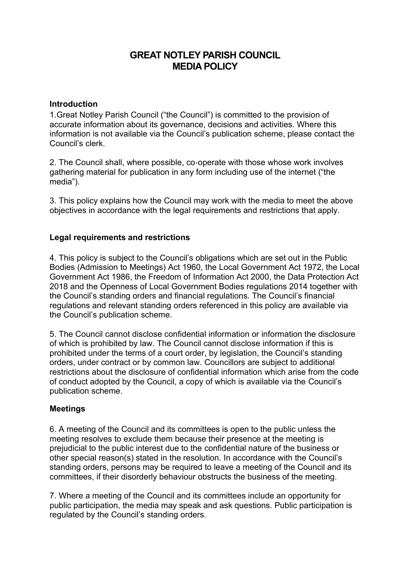# **GREAT NOTLEY PARISH COUNCIL MEDIA POLICY**

### **Introduction**

1.Great Notley Parish Council ("the Council") is committed to the provision of accurate information about its governance, decisions and activities. Where this information is not available via the Council's publication scheme, please contact the Council's clerk.

2. The Council shall, where possible, co-operate with those whose work involves gathering material for publication in any form including use of the internet ("the media").

3. This policy explains how the Council may work with the media to meet the above objectives in accordance with the legal requirements and restrictions that apply.

## **Legal requirements and restrictions**

4. This policy is subject to the Council's obligations which are set out in the Public Bodies (Admission to Meetings) Act 1960, the Local Government Act 1972, the Local Government Act 1986, the Freedom of Information Act 2000, the Data Protection Act 2018 and the Openness of Local Government Bodies regulations 2014 together with the Council's standing orders and financial regulations. The Council's financial regulations and relevant standing orders referenced in this policy are available via the Council's publication scheme.

5. The Council cannot disclose confidential information or information the disclosure of which is prohibited by law. The Council cannot disclose information if this is prohibited under the terms of a court order, by legislation, the Council's standing orders, under contract or by common law. Councillors are subject to additional restrictions about the disclosure of confidential information which arise from the code of conduct adopted by the Council, a copy of which is available via the Council's publication scheme.

### **Meetings**

6. A meeting of the Council and its committees is open to the public unless the meeting resolves to exclude them because their presence at the meeting is prejudicial to the public interest due to the confidential nature of the business or other special reason(s) stated in the resolution. In accordance with the Council's standing orders, persons may be required to leave a meeting of the Council and its committees, if their disorderly behaviour obstructs the business of the meeting.

7. Where a meeting of the Council and its committees include an opportunity for public participation, the media may speak and ask questions. Public participation is regulated by the Council's standing orders.